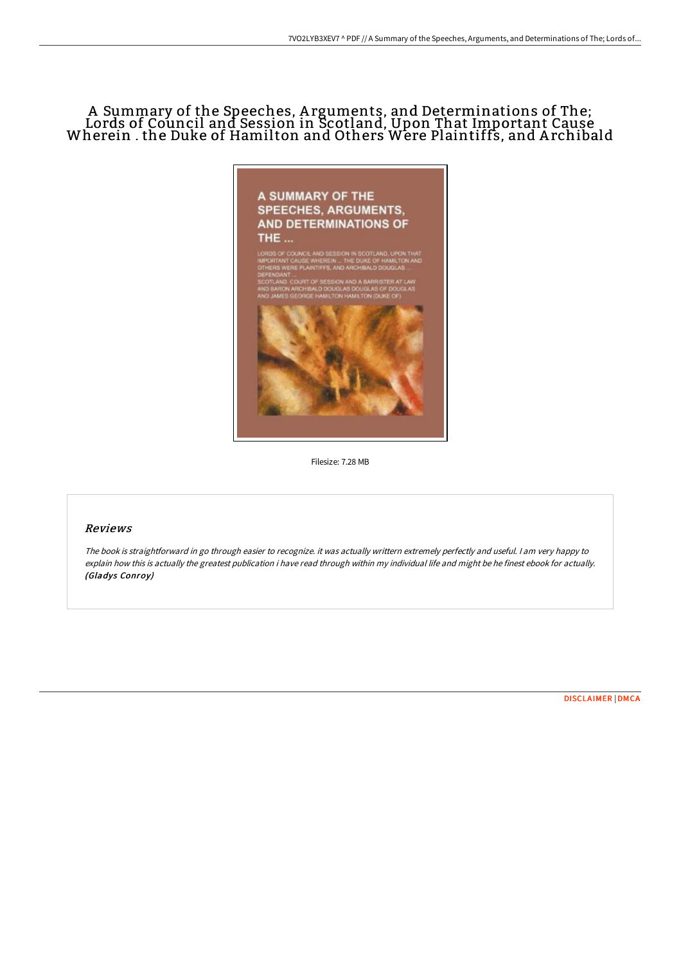# A Summary of the Speeches, A rguments, and Determinations of The; Lords of Council and Session in Scotland, Upon That Important Cause Wherein . the Duke of Hamilton and Others Were Plaintiffs, and A rchibald



Filesize: 7.28 MB

### Reviews

The book is straightforward in go through easier to recognize. it was actually writtern extremely perfectly and useful. <sup>I</sup> am very happy to explain how this is actually the greatest publication i have read through within my individual life and might be he finest ebook for actually. (Gladys Conroy)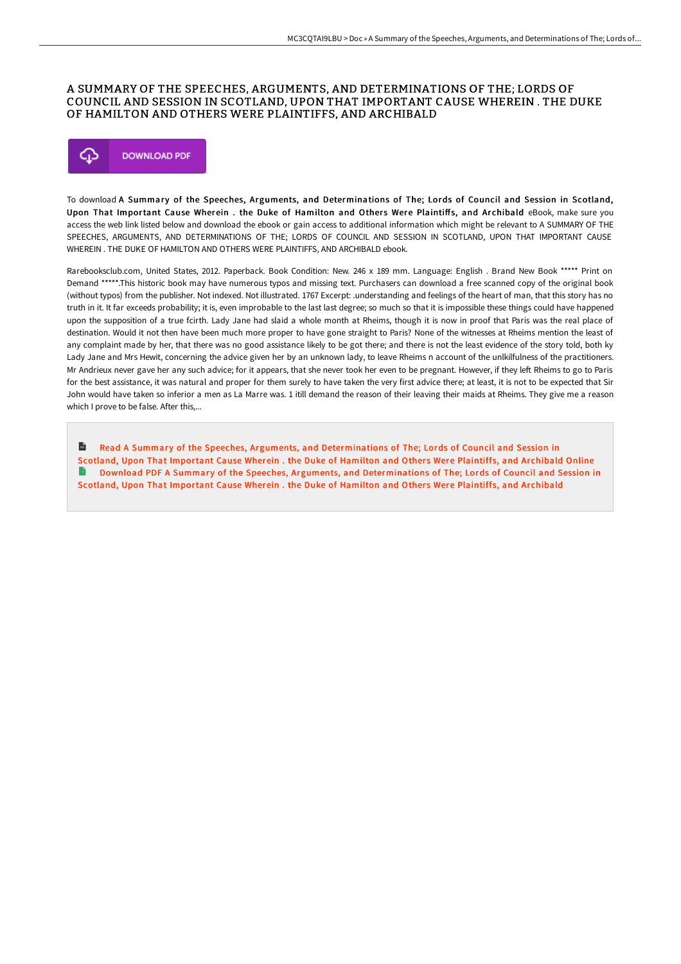### A SUMMARY OF THE SPEECHES, ARGUMENTS, AND DETERMINATIONS OF THE; LORDS OF COUNCIL AND SESSION IN SCOTLAND, UPON THAT IMPORTANT CAUSE WHEREIN . THE DUKE OF HAMILTON AND OTHERS WERE PLAINTIFFS, AND ARCHIBALD



To download A Summary of the Speeches, Arguments, and Determinations of The; Lords of Council and Session in Scotland, Upon That Important Cause Wherein. the Duke of Hamilton and Others Were Plaintiffs, and Archibald eBook, make sure you access the web link listed below and download the ebook or gain access to additional information which might be relevant to A SUMMARY OF THE SPEECHES, ARGUMENTS, AND DETERMINATIONS OF THE; LORDS OF COUNCIL AND SESSION IN SCOTLAND, UPON THAT IMPORTANT CAUSE WHEREIN . THE DUKE OF HAMILTON AND OTHERS WERE PLAINTIFFS, AND ARCHIBALD ebook.

Rarebooksclub.com, United States, 2012. Paperback. Book Condition: New. 246 x 189 mm. Language: English . Brand New Book \*\*\*\*\* Print on Demand \*\*\*\*\*.This historic book may have numerous typos and missing text. Purchasers can download a free scanned copy of the original book (without typos) from the publisher. Not indexed. Not illustrated. 1767 Excerpt: .understanding and feelings of the heart of man, that this story has no truth in it. It far exceeds probability; it is, even improbable to the last last degree; so much so that it is impossible these things could have happened upon the supposition of a true fcirth. Lady Jane had slaid a whole month at Rheims, though it is now in proof that Paris was the real place of destination. Would it not then have been much more proper to have gone straight to Paris? None of the witnesses at Rheims mention the least of any complaint made by her, that there was no good assistance likely to be got there; and there is not the least evidence of the story told, both ky Lady Jane and Mrs Hewit, concerning the advice given her by an unknown lady, to leave Rheims n account of the unlkilfulness of the practitioners. Mr Andrieux never gave her any such advice; for it appears, that she never took her even to be pregnant. However, if they left Rheims to go to Paris for the best assistance, it was natural and proper for them surely to have taken the very first advice there; at least, it is not to be expected that Sir John would have taken so inferior a men as La Marre was. 1 itill demand the reason of their leaving their maids at Rheims. They give me a reason which I prove to be false. After this,...

 $\mathbf{m}$ Read A Summary of the Speeches, Arguments, and [Determinations](http://albedo.media/a-summary-of-the-speeches-arguments-and-determin.html) of The; Lords of Council and Session in Scotland, Upon That Important Cause Wherein . the Duke of Hamilton and Others Were Plaintiffs, and Archibald Online B Download PDF A Summary of the Speeches, Arguments, and [Determinations](http://albedo.media/a-summary-of-the-speeches-arguments-and-determin.html) of The; Lords of Council and Session in Scotland, Upon That Important Cause Wherein . the Duke of Hamilton and Others Were Plaintiffs, and Archibald